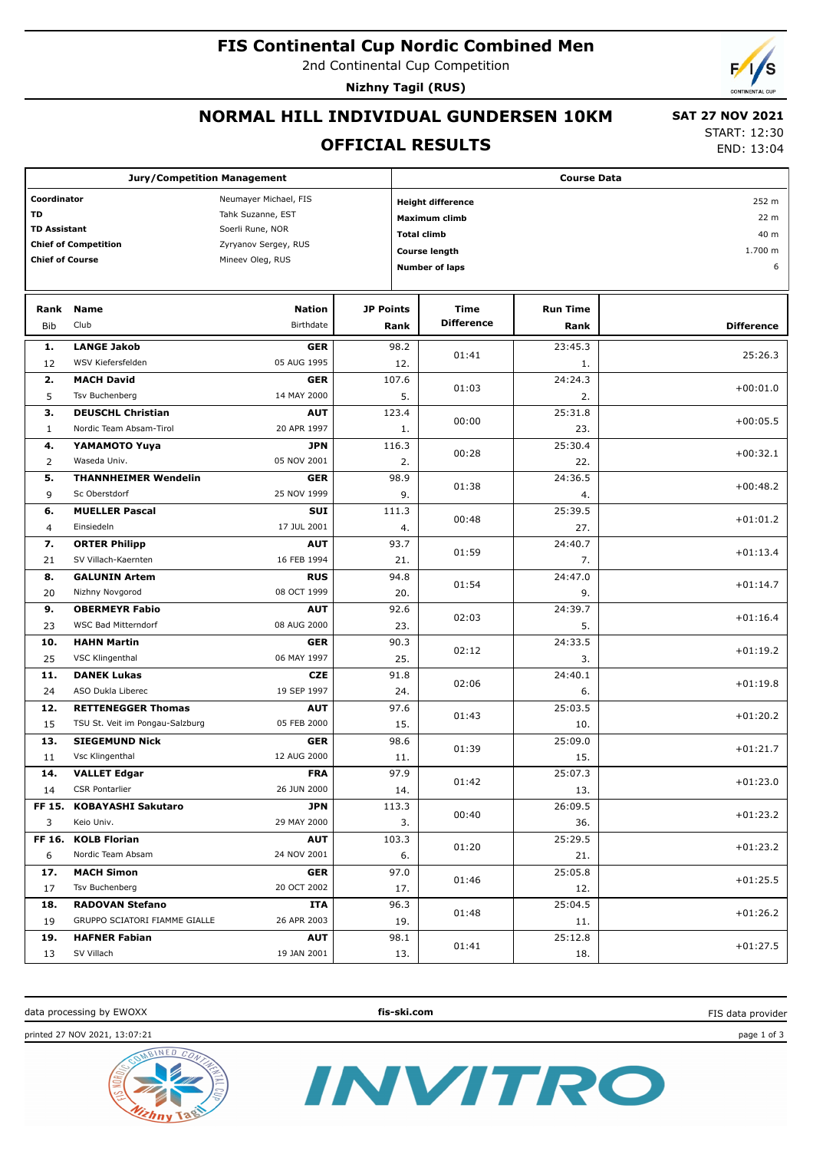### **FIS Continental Cup Nordic Combined Men**

2nd Continental Cup Competition

**Nizhny Tagil (RUS)**

## **NORMAL HILL INDIVIDUAL GUNDERSEN 10KM**

#### **OFFICIAL RESULTS**

 **SAT 27 NOV 2021** START: 12:30

END: 13:04

| <b>Jury/Competition Management</b>      |                                 |                            |                            | <b>Course Data</b>                |                           |                 |                   |  |
|-----------------------------------------|---------------------------------|----------------------------|----------------------------|-----------------------------------|---------------------------|-----------------|-------------------|--|
| Coordinator<br>Neumayer Michael, FIS    |                                 |                            |                            | 252 m<br><b>Height difference</b> |                           |                 |                   |  |
| <b>TD</b><br>Tahk Suzanne, EST          |                                 |                            |                            | 22 m<br><b>Maximum climb</b>      |                           |                 |                   |  |
| <b>TD Assistant</b><br>Soerli Rune, NOR |                                 |                            | 40 m<br><b>Total climb</b> |                                   |                           |                 |                   |  |
|                                         | <b>Chief of Competition</b>     | Zyryanov Sergey, RUS       |                            |                                   | <b>Course length</b>      |                 | 1.700 m           |  |
| <b>Chief of Course</b>                  |                                 | Mineev Oleg, RUS           |                            |                                   | <b>Number of laps</b>     |                 | 6                 |  |
|                                         |                                 |                            |                            |                                   |                           |                 |                   |  |
| <b>JP Points</b>                        |                                 |                            |                            |                                   |                           |                 |                   |  |
| Rank                                    | <b>Name</b><br>Club             | <b>Nation</b><br>Birthdate |                            |                                   | Time<br><b>Difference</b> | <b>Run Time</b> |                   |  |
| Bib                                     |                                 |                            |                            | Rank                              |                           | Rank            | <b>Difference</b> |  |
| 1.                                      | <b>LANGE Jakob</b>              | <b>GER</b>                 |                            | 98.2                              | 01:41                     | 23:45.3         | 25:26.3           |  |
| 12                                      | WSV Kiefersfelden               | 05 AUG 1995                |                            | 12.                               |                           | 1.              |                   |  |
| 2.                                      | <b>MACH David</b>               | <b>GER</b>                 |                            | 107.6                             | 01:03                     | 24:24.3         | $+00:01.0$        |  |
| 5                                       | Tsv Buchenberg                  | 14 MAY 2000                |                            | 5.                                |                           | 2.              |                   |  |
| з.                                      | <b>DEUSCHL Christian</b>        | <b>AUT</b>                 |                            | 123.4                             | 00:00                     | 25:31.8         | $+00:05.5$        |  |
| $\mathbf{1}$                            | Nordic Team Absam-Tirol         | 20 APR 1997                |                            | 1.                                |                           | 23.             |                   |  |
| 4.                                      | <b>YAMAMOTO Yuya</b>            | <b>JPN</b>                 |                            | 116.3                             |                           | 25:30.4         |                   |  |
| $\overline{2}$                          | Waseda Univ.                    | 05 NOV 2001                |                            | 2.                                | 00:28                     | 22.             | $+00:32.1$        |  |
| 5.                                      | <b>THANNHEIMER Wendelin</b>     | <b>GER</b>                 |                            | 98.9                              |                           | 24:36.5         |                   |  |
| 9                                       | Sc Oberstdorf                   | 25 NOV 1999                |                            | 9.                                | 01:38                     | 4.              | $+00:48.2$        |  |
| 6.                                      | <b>MUELLER Pascal</b>           | <b>SUI</b>                 |                            | 111.3                             |                           | 25:39.5         |                   |  |
| 4                                       | Einsiedeln                      | 17 JUL 2001                |                            | 4.                                | 00:48                     | 27.             | $+01:01.2$        |  |
| 7.                                      | <b>ORTER Philipp</b>            | <b>AUT</b>                 |                            | 93.7                              |                           | 24:40.7         |                   |  |
| 21                                      | SV Villach-Kaernten             | 16 FEB 1994                |                            | 21.                               | 01:59                     | 7.              | $+01:13.4$        |  |
| 8.                                      | <b>GALUNIN Artem</b>            | <b>RUS</b>                 |                            | 94.8                              |                           | 24:47.0         |                   |  |
| 20                                      | Nizhny Novgorod                 | 08 OCT 1999                |                            | 20.                               | 01:54                     | 9.              | $+01:14.7$        |  |
| 9.                                      | <b>OBERMEYR Fabio</b>           | <b>AUT</b>                 |                            | 92.6                              |                           | 24:39.7         |                   |  |
| 23                                      | WSC Bad Mitterndorf             | 08 AUG 2000                |                            | 23.                               | 02:03                     | 5.              | $+01:16.4$        |  |
| 10.                                     | <b>HAHN Martin</b>              | <b>GER</b>                 |                            | 90.3                              |                           | 24:33.5         |                   |  |
| 25                                      | VSC Klingenthal                 | 06 MAY 1997                |                            | 25.                               | 02:12                     | 3.              | $+01:19.2$        |  |
| 11.                                     | <b>DANEK Lukas</b>              | <b>CZE</b>                 |                            | 91.8                              |                           | 24:40.1         |                   |  |
| 24                                      | ASO Dukla Liberec               | 19 SEP 1997                |                            | 24.                               | 02:06                     | 6.              | $+01:19.8$        |  |
| 12.                                     | <b>RETTENEGGER Thomas</b>       | <b>AUT</b>                 |                            | 97.6                              |                           | 25:03.5         |                   |  |
| 15                                      | TSU St. Veit im Pongau-Salzburg | 05 FEB 2000                |                            | 15.                               | 01:43                     | 10.             | $+01:20.2$        |  |
| 13.                                     | <b>SIEGEMUND Nick</b>           | <b>GER</b>                 |                            | 98.6                              |                           | 25:09.0         |                   |  |
| 11                                      | Vsc Klingenthal                 | 12 AUG 2000                |                            | 11.                               | 01:39                     | 15.             | $+01:21.7$        |  |
| 14.                                     | <b>VALLET Edgar</b>             | <b>FRA</b>                 |                            | 97.9                              |                           | 25:07.3         |                   |  |
| 14                                      | CSR Pontarlier                  | 26 JUN 2000                |                            | 14.                               | 01:42                     | 13.             | $+01:23.0$        |  |
| FF 15.                                  | <b>KOBAYASHI Sakutaro</b>       | JPN                        |                            | 113.3                             |                           | 26:09.5         |                   |  |
| 3                                       | Keio Univ.                      | 29 MAY 2000                |                            | 3.                                | 00:40                     | 36.             | $+01:23.2$        |  |
| FF 16.                                  | <b>KOLB Florian</b>             | <b>AUT</b>                 |                            | 103.3                             |                           | 25:29.5         |                   |  |
| 6                                       | Nordic Team Absam               | 24 NOV 2001                |                            | 6.                                | 01:20                     | 21.             | $+01:23.2$        |  |
| 17.                                     | <b>MACH Simon</b>               | <b>GER</b>                 |                            | 97.0                              |                           | 25:05.8         |                   |  |
| 17                                      | Tsv Buchenberg                  | 20 OCT 2002                |                            | 17.                               | 01:46                     |                 | $+01:25.5$        |  |
|                                         | <b>RADOVAN Stefano</b>          |                            |                            |                                   |                           | 12.             |                   |  |
| 18.                                     | GRUPPO SCIATORI FIAMME GIALLE   | ITA<br>26 APR 2003         |                            | 96.3                              | 01:48                     | 25:04.5         | $+01:26.2$        |  |
| 19                                      |                                 |                            |                            | 19.                               |                           | 11.             |                   |  |
| 19.                                     | <b>HAFNER Fabian</b>            | <b>AUT</b>                 |                            | 98.1                              | 01:41                     | 25:12.8         | $+01:27.5$        |  |
| 13                                      | SV Villach                      | 19 JAN 2001                |                            | 13.                               |                           | 18.             |                   |  |

data processing by EWOXX **fis-ski.com**

INVITRO

FIS data provider

printed 27 NOV 2021, 13:07:21 page 1 of 3

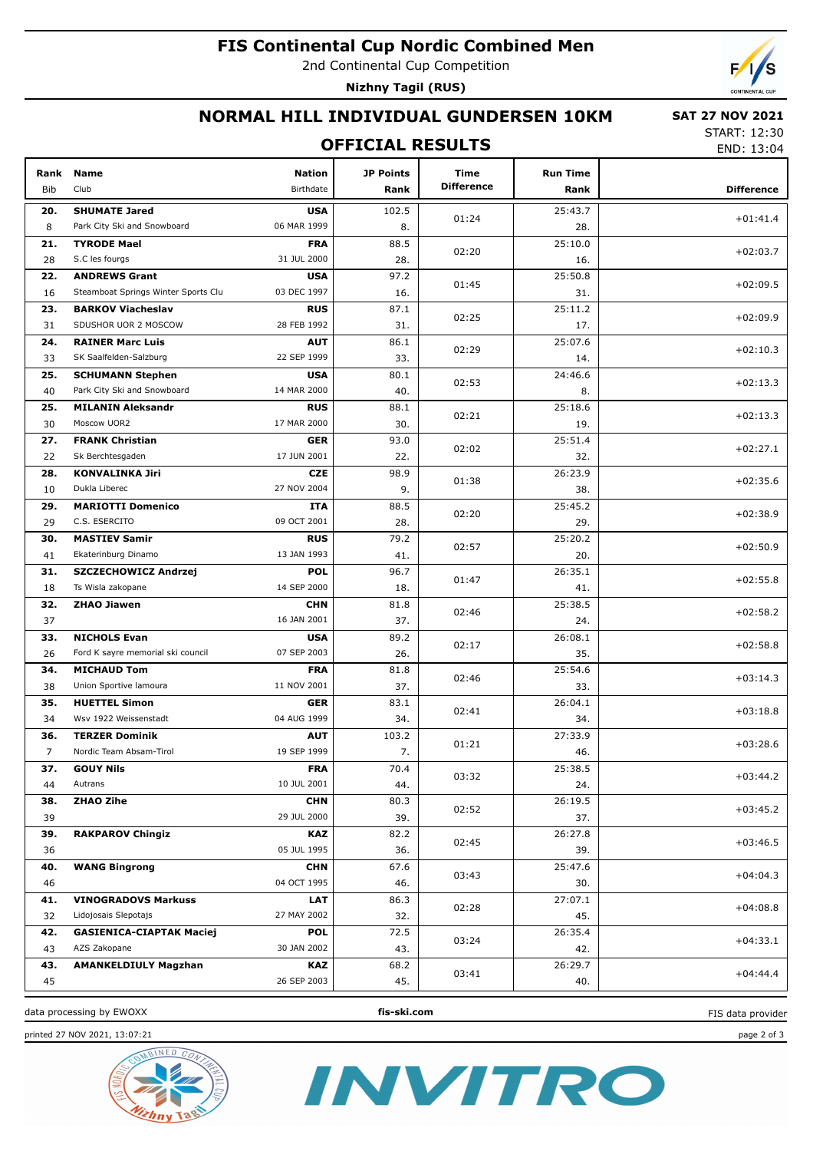### **FIS Continental Cup Nordic Combined Men**

2nd Continental Cup Competition

**Nizhny Tagil (RUS)**

# **NORMAL HILL INDIVIDUAL GUNDERSEN 10KM**

#### **SAT 27 NOV 2021**

### **OFFICIAL RESULTS**

START: 12:30 END: 13:04

| Rank           | Name                                                     | <b>Nation</b>             | <b>JP Points</b> | Time              | <b>Run Time</b> |                   |
|----------------|----------------------------------------------------------|---------------------------|------------------|-------------------|-----------------|-------------------|
| <b>Bib</b>     | Club                                                     | Birthdate                 | Rank             | <b>Difference</b> | Rank            | <b>Difference</b> |
| 20.            | <b>SHUMATE Jared</b>                                     | <b>USA</b>                | 102.5            | 01:24             | 25:43.7         | $+01:41.4$        |
| 8              | Park City Ski and Snowboard                              | 06 MAR 1999               | 8.               |                   | 28.             |                   |
| 21.            | <b>TYRODE Mael</b>                                       | <b>FRA</b>                | 88.5             | 02:20             | 25:10.0         | $+02:03.7$        |
| 28             | S.C les fourgs                                           | 31 JUL 2000               | 28.              |                   | 16.             |                   |
| 22.            | <b>ANDREWS Grant</b>                                     | <b>USA</b>                | 97.2             | 01:45             | 25:50.8         | $+02:09.5$        |
| 16             | Steamboat Springs Winter Sports Clu                      | 03 DEC 1997               | 16.              |                   | 31.             |                   |
| 23.            | <b>BARKOV Viacheslav</b>                                 | <b>RUS</b>                | 87.1             | 02:25             | 25:11.2         | $+02:09.9$        |
| 31             | SDUSHOR UOR 2 MOSCOW                                     | 28 FEB 1992               | 31.              |                   | 17.             |                   |
| 24.            | <b>RAINER Marc Luis</b>                                  | <b>AUT</b>                | 86.1             | 02:29             | 25:07.6         | $+02:10.3$        |
| 33             | SK Saalfelden-Salzburg                                   | 22 SEP 1999               | 33.              |                   | 14.             |                   |
| 25.            | <b>SCHUMANN Stephen</b>                                  | <b>USA</b>                | 80.1             | 02:53             | 24:46.6         | $+02:13.3$        |
| 40             | Park City Ski and Snowboard                              | 14 MAR 2000               | 40.              |                   | 8.              |                   |
| 25.            | <b>MILANIN Aleksandr</b>                                 | <b>RUS</b>                | 88.1             | 02:21             | 25:18.6         | $+02:13.3$        |
| 30             | Moscow UOR2                                              | 17 MAR 2000               | 30.              |                   | 19.             |                   |
| 27.            | <b>FRANK Christian</b>                                   | <b>GER</b>                | 93.0             | 02:02             | 25:51.4         | $+02:27.1$        |
| 22             | Sk Berchtesgaden                                         | 17 JUN 2001               | 22.              |                   | 32.             |                   |
| 28.            | <b>KONVALINKA Jiri</b>                                   | <b>CZE</b>                | 98.9             | 01:38             | 26:23.9         | $+02:35.6$        |
| 10             | Dukla Liberec                                            | 27 NOV 2004               | 9.               |                   | 38.             |                   |
| 29.            | <b>MARIOTTI Domenico</b>                                 | <b>ITA</b>                | 88.5             | 02:20             | 25:45.2         | $+02:38.9$        |
| 29             | C.S. ESERCITO                                            | 09 OCT 2001               | 28.              |                   | 29.             |                   |
| 30.            | <b>MASTIEV Samir</b>                                     | <b>RUS</b>                | 79.2             | 02:57             | 25:20.2         | $+02:50.9$        |
| 41             | Ekaterinburg Dinamo                                      | 13 JAN 1993               | 41.              |                   | 20.             |                   |
| 31.            | SZCZECHOWICZ Andrzej                                     | <b>POL</b>                | 96.7             | 01:47             | 26:35.1         | $+02:55.8$        |
| 18             | Ts Wisla zakopane                                        | 14 SEP 2000               | 18.              |                   | 41.             |                   |
| 32.            | <b>ZHAO Jiawen</b>                                       | <b>CHN</b>                | 81.8             | 02:46             | 25:38.5         | $+02:58.2$        |
| 37             |                                                          | 16 JAN 2001               | 37.              |                   | 24.             |                   |
| 33.<br>26      | <b>NICHOLS Evan</b><br>Ford K sayre memorial ski council | <b>USA</b><br>07 SEP 2003 | 89.2<br>26.      | 02:17             | 26:08.1<br>35.  | $+02:58.8$        |
| 34.            | <b>MICHAUD Tom</b>                                       | <b>FRA</b>                | 81.8             |                   | 25:54.6         |                   |
| 38             | Union Sportive lamoura                                   | 11 NOV 2001               | 37.              | 02:46             | 33.             | $+03:14.3$        |
| 35.            | <b>HUETTEL Simon</b>                                     | <b>GER</b>                | 83.1             |                   | 26:04.1         |                   |
| 34             | Wsv 1922 Weissenstadt                                    | 04 AUG 1999               | 34.              | 02:41             | 34.             | $+03:18.8$        |
| 36.            | <b>TERZER Dominik</b>                                    | <b>AUT</b>                | 103.2            |                   | 27:33.9         |                   |
| $\overline{7}$ | Nordic Team Absam-Tirol                                  | 19 SEP 1999               | 7.               | 01:21             | 46.             | $+03:28.6$        |
| 37.            | <b>GOUY Nils</b>                                         | <b>FRA</b>                | 70.4             |                   | 25:38.5         |                   |
| 44             | Autrans                                                  | 10 JUL 2001               | 44.              | 03:32             | 24.             | $+03:44.2$        |
| 38.            | <b>ZHAO Zihe</b>                                         | <b>CHN</b>                | 80.3             |                   | 26:19.5         |                   |
| 39             |                                                          | 29 JUL 2000               | 39.              | 02:52             | 37.             | $+03:45.2$        |
| 39.            | <b>RAKPAROV Chingiz</b>                                  | <b>KAZ</b>                | 82.2             |                   | 26:27.8         |                   |
| 36             |                                                          | 05 JUL 1995               | 36.              | 02:45             | 39.             | $+03:46.5$        |
| 40.            | <b>WANG Bingrong</b>                                     | <b>CHN</b>                | 67.6             |                   | 25:47.6         |                   |
| 46             |                                                          | 04 OCT 1995               | 46.              | 03:43             | 30.             | $+04:04.3$        |
| 41.            | <b>VINOGRADOVS Markuss</b>                               | <b>LAT</b>                | 86.3             |                   | 27:07.1         |                   |
| 32             | Lidojosais Slepotajs                                     | 27 MAY 2002               | 32.              | 02:28             | 45.             | $+04:08.8$        |
| 42.            | <b>GASIENICA-CIAPTAK Maciej</b>                          | <b>POL</b>                | 72.5             |                   | 26:35.4         |                   |
| 43             | AZS Zakopane                                             | 30 JAN 2002               | 43.              | 03:24             | 42.             | $+04:33.1$        |
| 43.            | <b>AMANKELDIULY Magzhan</b>                              | <b>KAZ</b>                | 68.2             |                   | 26:29.7         |                   |
| 45             |                                                          | 26 SEP 2003               | 45.              | 03:41             | 40.             | $+04:44.4$        |
|                |                                                          |                           |                  |                   |                 |                   |

data processing by EWOXX **fis-ski.com**







FIS data provider